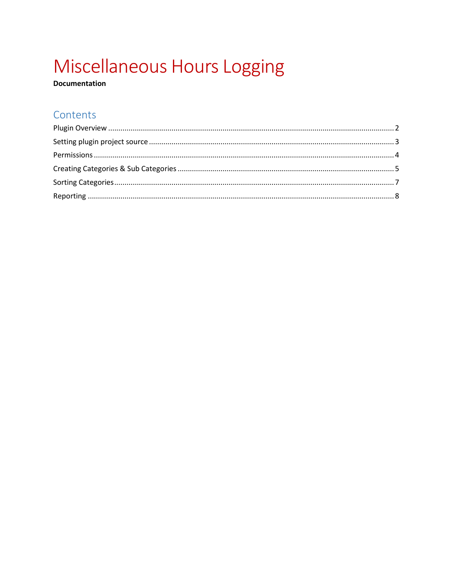# Miscellaneous Hours Logging

**Documentation** 

## Contents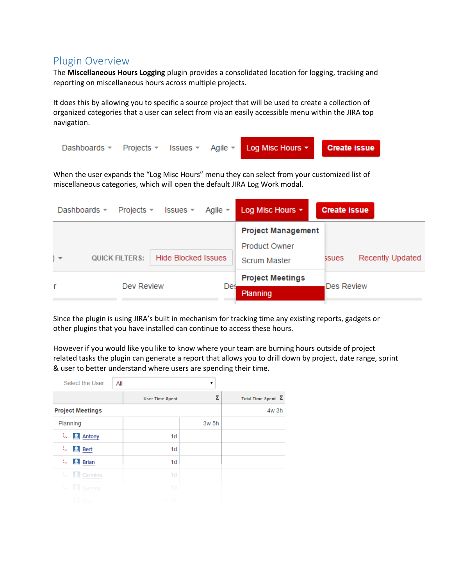#### <span id="page-1-0"></span>Plugin Overview

The **Miscellaneous Hours Logging** plugin provides a consolidated location for logging, tracking and reporting on miscellaneous hours across multiple projects.

It does this by allowing you to specific a source project that will be used to create a collection of organized categories that a user can select from via an easily accessible menu within the JIRA top navigation.



When the user expands the "Log Misc Hours" menu they can select from your customized list of miscellaneous categories, which will open the default JIRA Log Work modal.

| Dashboards -<br>Projects $\sim$        | Agile $\equiv$<br>Issues $\sim$ | Log Misc Hours $\star$                            | <b>Create issue</b>       |
|----------------------------------------|---------------------------------|---------------------------------------------------|---------------------------|
| <b>QUICK FILTERS:</b><br>$\rightarrow$ | <b>Hide Blocked Issues</b>      | <b>Project Management</b><br><b>Product Owner</b> | Recently Updated<br>ssues |
|                                        |                                 | <b>Scrum Master</b>                               |                           |
| Dev Review                             | Des                             | <b>Project Meetings</b>                           | <b>Des Review</b>         |
|                                        |                                 | Planning                                          |                           |

Since the plugin is using JIRA's built in mechanism for tracking time any existing reports, gadgets or other plugins that you have installed can continue to access these hours.

However if you would like you like to know where your team are burning hours outside of project related tasks the plugin can generate a report that allows you to drill down by project, date range, sprint & user to better understand where users are spending their time.

|     | Select the User         | All |                        | ▼     |                           |
|-----|-------------------------|-----|------------------------|-------|---------------------------|
|     |                         |     | <b>User Time Spent</b> | Σ     | Total Time Spent $\Sigma$ |
|     | <b>Project Meetings</b> |     |                        |       | 4w 3h                     |
|     | Planning                |     |                        | 3w 5h |                           |
| t,  | <b>Antony</b>           |     | 1 <sub>d</sub>         |       |                           |
| ίş. | $\mathbf{R}$ Bert       |     | 1 <sub>d</sub>         |       |                           |
| U.  | $\blacksquare$ Brian    |     | 1 <sub>d</sub>         |       |                           |
| t,  | $\Omega$ Carmine        |     | 1 <sub>d</sub>         |       |                           |
| ÷.  | <b>A</b> Damine         |     | 1d                     |       |                           |
|     | $\Box$ Fisie            |     | 1d <sub>1h</sub>       |       |                           |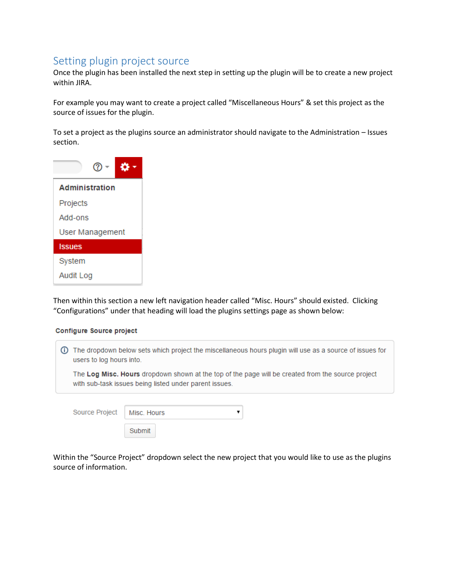#### <span id="page-2-0"></span>Setting plugin project source

Once the plugin has been installed the next step in setting up the plugin will be to create a new project within JIRA.

For example you may want to create a project called "Miscellaneous Hours" & set this project as the source of issues for the plugin.

To set a project as the plugins source an administrator should navigate to the Administration – Issues section.



Then within this section a new left navigation header called "Misc. Hours" should existed. Clicking "Configurations" under that heading will load the plugins settings page as shown below:

#### Configure Source project

| users to log hours into. | The dropdown below sets which project the miscellaneous hours plugin will use as a source of issues for                                                     |  |  |  |  |  |
|--------------------------|-------------------------------------------------------------------------------------------------------------------------------------------------------------|--|--|--|--|--|
|                          | The Log Misc. Hours dropdown shown at the top of the page will be created from the source project<br>with sub-task issues being listed under parent issues. |  |  |  |  |  |
| Source Project           | Misc. Hours                                                                                                                                                 |  |  |  |  |  |

Within the "Source Project" dropdown select the new project that you would like to use as the plugins source of information.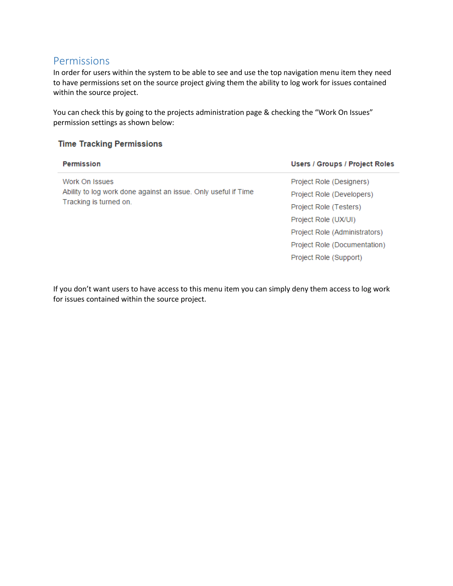#### <span id="page-3-0"></span>Permissions

In order for users within the system to be able to see and use the top navigation menu item they need to have permissions set on the source project giving them the ability to log work for issues contained within the source project.

You can check this by going to the projects administration page & checking the "Work On Issues" permission settings as shown below:

#### **Time Tracking Permissions**

| <b>Permission</b>                                              | Users / Groups / Project Roles |
|----------------------------------------------------------------|--------------------------------|
| Work On Issues                                                 | Project Role (Designers)       |
| Ability to log work done against an issue. Only useful if Time | Project Role (Developers)      |
| Tracking is turned on.                                         | Project Role (Testers)         |
|                                                                | Project Role (UX/UI)           |
|                                                                | Project Role (Administrators)  |
|                                                                | Project Role (Documentation)   |
|                                                                | Project Role (Support)         |
|                                                                |                                |

If you don't want users to have access to this menu item you can simply deny them access to log work for issues contained within the source project.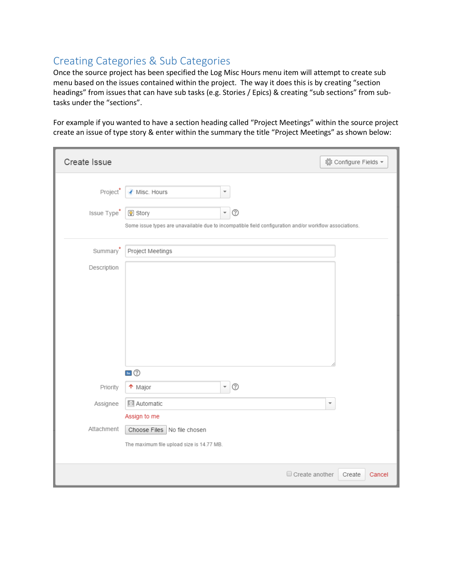## <span id="page-4-0"></span>Creating Categories & Sub Categories

Once the source project has been specified the Log Misc Hours menu item will attempt to create sub menu based on the issues contained within the project. The way it does this is by creating "section headings" from issues that can have sub tasks (e.g. Stories / Epics) & creating "sub sections" from subtasks under the "sections".

For example if you wanted to have a section heading called "Project Meetings" within the source project create an issue of type story & enter within the summary the title "Project Meetings" as shown below:

| Create Issue | ◎ Configure Fields ▼                                                                                   |
|--------------|--------------------------------------------------------------------------------------------------------|
| Project*     | Misc. Hours<br>$\overline{\phantom{a}}$                                                                |
| Issue Type*  | $\circledcirc$<br>$\overline{\phantom{a}}$<br>Story 9                                                  |
|              | Some issue types are unavailable due to incompatible field configuration and/or workflow associations. |
| Summary'     | Project Meetings                                                                                       |
| Description  |                                                                                                        |
|              |                                                                                                        |
|              |                                                                                                        |
|              |                                                                                                        |
|              |                                                                                                        |
|              |                                                                                                        |
|              |                                                                                                        |
| Priority     | $\blacksquare$<br>$\overline{\phantom{a}}$<br>$\circled{?}$<br>↑ Major                                 |
| Assignee     | 2 Automatic<br>$\overline{\mathbf v}$                                                                  |
|              | Assign to me                                                                                           |
| Attachment   | Choose Files   No file chosen                                                                          |
|              | The maximum file upload size is 14.77 MB.                                                              |
|              |                                                                                                        |
|              | Create another<br>Create<br>Cancel                                                                     |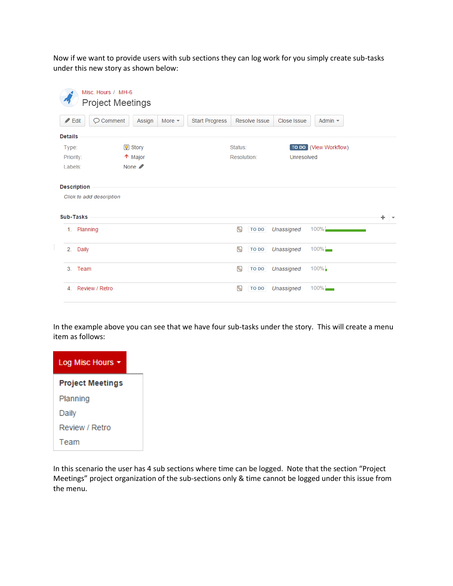Now if we want to provide users with sub sections they can log work for you simply create sub-tasks under this new story as shown below:

|   |                    |                          | Misc. Hours / MH-6<br><b>Project Meetings</b> |                            |          |                |                        |               |             |                          |  |
|---|--------------------|--------------------------|-----------------------------------------------|----------------------------|----------|----------------|------------------------|---------------|-------------|--------------------------|--|
|   | $\angle$ Edit      |                          | O Comment                                     | Assign                     | More $-$ | Start Progress |                        | Resolve Issue | Close Issue | Admin $\sim$             |  |
|   | <b>Details</b>     |                          |                                               |                            |          |                |                        |               |             |                          |  |
|   | Type:<br>Priority: |                          |                                               | <b>V</b> Story<br>↑ Major  |          |                | Status:<br>Resolution: |               | Unresolved  | [TO DO   (View Workflow) |  |
|   | Labels:            |                          |                                               | None $\blacktriangleright$ |          |                |                        |               |             |                          |  |
|   |                    | <b>Description</b>       |                                               |                            |          |                |                        |               |             |                          |  |
|   |                    | Click to add description |                                               |                            |          |                |                        |               |             |                          |  |
|   | <b>Sub-Tasks</b>   |                          |                                               |                            |          |                |                        |               |             |                          |  |
|   |                    | 1. Planning              |                                               |                            |          |                | 9.                     | <b>TO DO</b>  | Unassigned  | $100\%$                  |  |
| ÷ | 2.                 | Daily                    |                                               |                            |          |                | 喝                      | <b>TO DO</b>  | Unassigned  | $100\%$                  |  |
|   | 3                  | Team                     |                                               |                            |          |                | 9.                     | TO DO         | Unassigned  | $100\%$                  |  |
|   | $\overline{4}$ .   | Review / Retro           |                                               |                            |          |                | 喝                      | <b>TO DO</b>  | Unassigned  | $100\%$ $\frac{1}{2}$    |  |

In the example above you can see that we have four sub-tasks under the story. This will create a menu item as follows:



In this scenario the user has 4 sub sections where time can be logged. Note that the section "Project Meetings" project organization of the sub-sections only & time cannot be logged under this issue from the menu.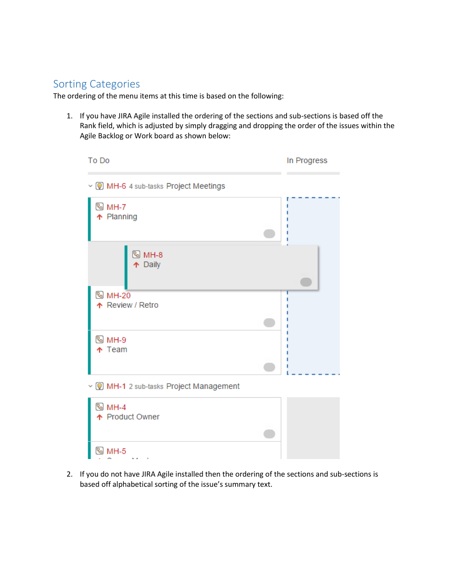#### <span id="page-6-0"></span>Sorting Categories

The ordering of the menu items at this time is based on the following:

1. If you have JIRA Agile installed the ordering of the sections and sub-sections is based off the Rank field, which is adjusted by simply dragging and dropping the order of the issues within the Agile Backlog or Work board as shown below:

| To Do                                    | In Progress |
|------------------------------------------|-------------|
| v ( MH-6 4 sub-tasks Project Meetings    |             |
| <sup>ତ୍ତ୍ର</sup> MH-7<br>↑ Planning      |             |
| <sup>මු</sup> MH-8<br>↑ Daily            |             |
| <sup>图</sup> MH-20<br>↑ Review / Retro   |             |
|                                          |             |
| ® MH-9<br>$\uparrow$ Team                |             |
|                                          |             |
| v ( MH-1 2 sub-tasks Project Management  |             |
| <sup>ତ୍ତ୍ର</sup> MH-4<br>↑ Product Owner |             |
|                                          |             |
| ଷ MH-5                                   |             |

2. If you do not have JIRA Agile installed then the ordering of the sections and sub-sections is based off alphabetical sorting of the issue's summary text.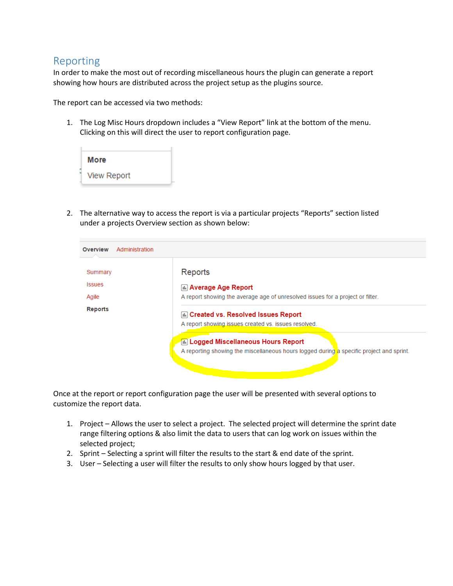#### <span id="page-7-0"></span>Reporting

In order to make the most out of recording miscellaneous hours the plugin can generate a report showing how hours are distributed across the project setup as the plugins source.

The report can be accessed via two methods:

1. The Log Misc Hours dropdown includes a "View Report" link at the bottom of the menu. Clicking on this will direct the user to report configuration page.



2. The alternative way to access the report is via a particular projects "Reports" section listed under a projects Overview section as shown below:

| Summary       | Reports                                                                                  |
|---------------|------------------------------------------------------------------------------------------|
| <b>Issues</b> | <b>[dd] Average Age Report</b>                                                           |
| Agile         | A report showing the average age of unresolved issues for a project or filter.           |
| Reports       | La Created vs. Resolved Issues Report                                                    |
|               | A report showing issues created vs. issues resolved.                                     |
|               | 仙 Logged Miscellaneous Hours Report                                                      |
|               | A reporting showing the miscellaneous hours logged during a specific project and sprint. |

Once at the report or report configuration page the user will be presented with several options to customize the report data.

- 1. Project Allows the user to select a project. The selected project will determine the sprint date range filtering options & also limit the data to users that can log work on issues within the selected project;
- 2. Sprint Selecting a sprint will filter the results to the start & end date of the sprint.
- 3. User Selecting a user will filter the results to only show hours logged by that user.